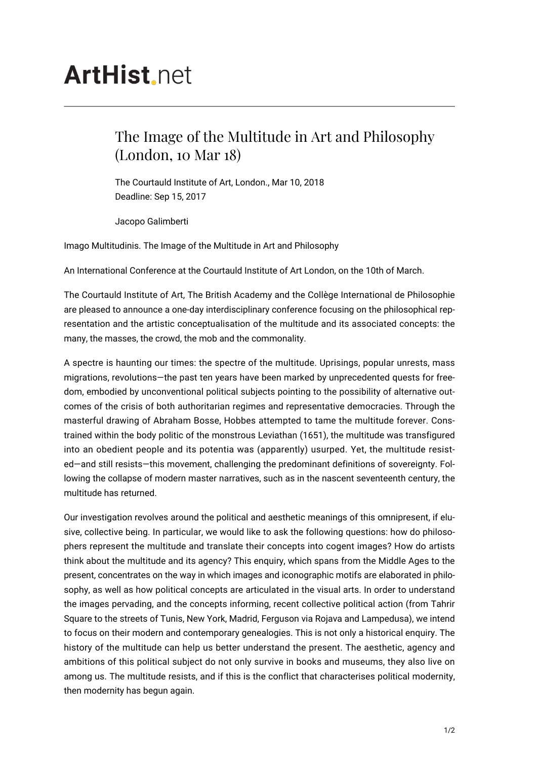## **ArtHist**, net

## The Image of the Multitude in Art and Philosophy (London, 10 Mar 18)

The Courtauld Institute of Art, London., Mar 10, 2018 Deadline: Sep 15, 2017

Jacopo Galimberti

Imago Multitudinis. The Image of the Multitude in Art and Philosophy

An International Conference at the Courtauld Institute of Art London, on the 10th of March.

The Courtauld Institute of Art, The British Academy and the Collège International de Philosophie are pleased to announce a one-day interdisciplinary conference focusing on the philosophical representation and the artistic conceptualisation of the multitude and its associated concepts: the many, the masses, the crowd, the mob and the commonality.

A spectre is haunting our times: the spectre of the multitude. Uprisings, popular unrests, mass migrations, revolutions—the past ten years have been marked by unprecedented quests for freedom, embodied by unconventional political subjects pointing to the possibility of alternative outcomes of the crisis of both authoritarian regimes and representative democracies. Through the masterful drawing of Abraham Bosse, Hobbes attempted to tame the multitude forever. Constrained within the body politic of the monstrous Leviathan (1651), the multitude was transfigured into an obedient people and its potentia was (apparently) usurped. Yet, the multitude resisted—and still resists—this movement, challenging the predominant definitions of sovereignty. Following the collapse of modern master narratives, such as in the nascent seventeenth century, the multitude has returned.

Our investigation revolves around the political and aesthetic meanings of this omnipresent, if elusive, collective being. In particular, we would like to ask the following questions: how do philosophers represent the multitude and translate their concepts into cogent images? How do artists think about the multitude and its agency? This enquiry, which spans from the Middle Ages to the present, concentrates on the way in which images and iconographic motifs are elaborated in philosophy, as well as how political concepts are articulated in the visual arts. In order to understand the images pervading, and the concepts informing, recent collective political action (from Tahrir Square to the streets of Tunis, New York, Madrid, Ferguson via Rojava and Lampedusa), we intend to focus on their modern and contemporary genealogies. This is not only a historical enquiry. The history of the multitude can help us better understand the present. The aesthetic, agency and ambitions of this political subject do not only survive in books and museums, they also live on among us. The multitude resists, and if this is the conflict that characterises political modernity, then modernity has begun again.